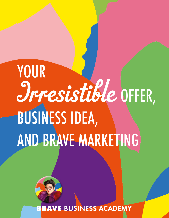# YOUR Irresistible OFFER, BUSINESS IDEA, AND BRAVE MARKETING



**RAVE BUSINESS ACADEMY**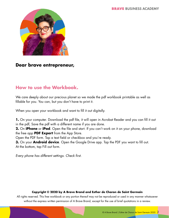

#### **Dear brave entrepreneur,**

### **How to use the Workbook.**

We care deeply about our precious planet so we made the pdf workbook printable as well as fillable for you. You can, but you don't have to print it.

When you open your workbook and want to fill it out digitally.

**1.** On your computer. Download the pdf file, it will open in Acrobat Reader and you can fill it out in the pdf, Save the pdf with a different name if you are done.

**2.** On **iPhone** or **iPad**. Open the file and start. If you can't work on it on your phone, download the free app **PDF Expert** from the App Store.

Open the PDF form. Tap a text field or checkbox and you're ready.

**3.** On your **Android device**. Open the Google Drive app. Tap the PDF you want to fill out. At the bottom, tap Fill out form.

*Every phone has different settings. Check first.*

#### **Copyright © 2020 by A Brave Brand and Esther de Charon de Saint Germain**

All rights reserved. This free workbook or any portion thereof may not be reproduced or used in any manner whatsoever without the express written permission of A Brave Brand, except for the use of brief quotations in a review.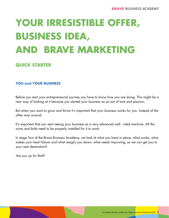## **YOUR IRRESISTIBLE OFFER, BUSINESS IDEA, AND BRAVE MARKETING**

#### **QUICK STARTER**

#### **YOU and YOUR BUSINESS**

Before you start your entrepreneurial journey you have to know how you are doing. This might be a new way of looking at it because you started your business as an act of love and passion.

But when you want to grow and thrive it's important that your business works for you. Instead of the other way around.

It's important that you start seeing your business as a very advanced well - oiled machine. All the wires and bolts need to be properly installed for it to work.

In stage Two of the Brave Business Academy, we look at what you have in place, what works, what makes your heart bloom and what weighs you down, what needs improving, so we can get you to your next destination?

*Are you up for that?*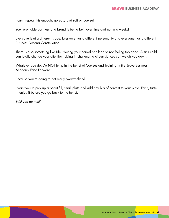I can't repeat this enough: go easy and soft on yourself.

Your profitable business and brand is being built over time and not in 6 weeks!

Everyone is at a different stage. Everyone has a different personality and everyone has a different Business Persona Constellation.

There is also something like Life. Having your period can lead to not feeling too good. A sick child can totally change your attention. Living in challenging circumstances can weigh you down.

Whatever you do. Do NOT jump in the buffet of Courses and Training in the Brave Business Academy Face Forward.

Because you're going to get really overwhelmed.

I want you to pick up a beautiful, small plate and add tiny bits of content to your plate. Eat it, taste it, enjoy it before you go back to the buffet.

*Will you do that?*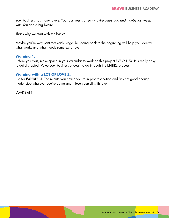Your business has many layers. Your business started - *maybe years ago and maybe last week* with You and a Big Desire.

That's why we start with the basics.

Maybe you're way past that early stage, but going back to the beginning will help you identify what works and what needs some extra love.

#### **Warning 1.**

Before you start, make space in your calendar to work on this project EVERY DAY. It is really easy to get distracted. Value your business enough to go through the ENTIRE process.

#### **Warning with a LOT OF LOVE 2.**

Go for IMPERFECT. The minute you notice you're in procrastination and 'it's not good enough' mode, stop whatever you're doing and infuse yourself with love.

LOADS of it.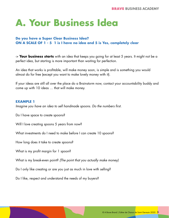### **A. Your Business Idea**

#### **Do you have a Super Clear Business Idea? ON A SCALE OF 1 - 5 1 is I have no idea and 5 is Yes, completely clear**

-> **Your business starts** with an idea that keeps you going for at least 5 years. It might not be a perfect idea, but starting is more important than waiting for perfection.

An idea that works is profitable, will make money soon, is simple and is something you would almost do for free (except you want to make lovely money with it).

If your ideas are still all over the place do a Brainstorm now, contact your accountability buddy and come up with 10 ideas … that will make money.

#### **EXAMPLE 1**

*Imagine you have an idea to sell handmade spoons. Do the numbers first.*

Do I have space to create spoons?

Will I love creating spoons 5 years from now?

What investments do I need to make before I can create 10 spoons?

How long does it take to create spoons?

What is my profit margin for 1 spoon?

What is my break-even point? *(The point that you actually make money)*

Do I only like creating or are you just as much in love with selling?

Do I like, respect and understand the needs of my buyers?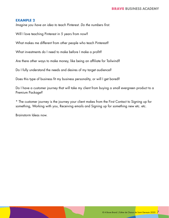#### **EXAMPLE 2**

*Imagine you have an idea to teach Pinterest. Do the numbers first.*

Will I love teaching Pinterest in 5 years from now?

What makes me different from other people who teach Pinterest?

What investments do I need to make before I make a profit?

Are there other ways to make money, like being an affiliate for Tailwind?

Do I fully understand the needs and desires of my target audience?

Does this type of business fit my business personality, or will I get bored?

Do I have a customer journey that will take my client from buying a small evergreen product to a Premium Package?

\* The customer journey is the journey your client makes from the First Contact to Signing up for something, Working with you, Receiving emails and Signing up for something new etc. etc.

Brainstorm Ideas now.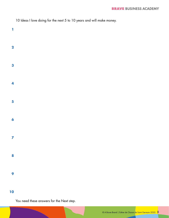| 10 Ideas I love doing for the next 5 to 10 years and will make money. |  |  |  |  |  |
|-----------------------------------------------------------------------|--|--|--|--|--|
|-----------------------------------------------------------------------|--|--|--|--|--|

#### 

#### 

You need these answers for the Next step.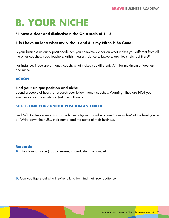### **B. YOUR NICHE**

#### **\* I have a clear and distinctive niche On a scale of 1 - 5**

#### **1 is I have no idea what my Niche is and 5 is my Niche is So Good!**

Is your business uniquely positioned? Are you completely clear on what makes you different from all the other coaches, yoga teachers, artists, healers, dancers, lawyers, architects, etc. out there?

For instance, if you are a money coach, what makes you different? Aim for maximum uniqueness and niche.

#### **ACTION**

#### **Find your unique position and niche**

Spend a couple of hours to research your fellow money coaches. Warning: They are NOT your enemies or your competitors. Just check them out.

#### **STEP 1. FIND YOUR UNIQUE POSITION AND NICHE**

Find 5/10 entrepreneurs who 'sort-of-do-what-you-do' and who are 'more or less' at the level you're at. Write down their URL, their name, and the name of their business.

#### **Research:**

**A.** Their tone of voice (happy, severe, upbeat, strict, serious, etc)

**B.** Can you figure out who they're talking to? Find their soul audience.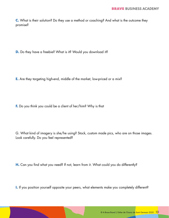**C.** What is their solution? Do they use a method or coaching? And what is the outcome they promise?

**D.** Do they have a freebie? What is it? Would you download it?

**E.** Are they targeting high-end, middle of the market, low-priced or a mix?

**F.** Do you think you could be a client of her/him? Why is that

G. What kind of imagery is she/he using? Stock, custom made pics, who are on those images. Look carefully. Do you feel represented?

H. Can you find what you need? If not, learn from it. What could you do differently?

**I.** If you position yourself opposite your peers, what elements make you completely different?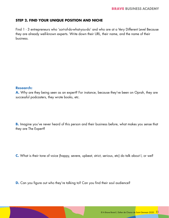#### **STEP 2. FIND YOUR UNIQUE POSITION AND NICHE**

Find 1 - 3 entrepreneurs who 'sort-of-do-what-you-do' and who are at a Very Different Level Because they are already well-known experts. Write down their URL, their name, and the name of their business.

#### **Research:**

A. Why are they being seen as an expert? For instance, because they've been on Oprah, they are successful podcasters, they wrote books, etc.

**B.** Imagine you've never heard of this person and their business before, what makes you sense that they are The Expert?

**C.** What is their tone of voice (happy, severe, upbeat, strict, serious, etc) do talk about I, or we?

**D.** Can you figure out who they're talking to? Can you find their soul audience?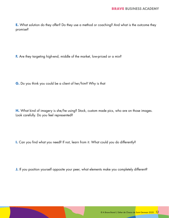**E.** What solution do they offer? Do they use a method or coaching? And what is the outcome they promise?

**F.** Are they targeting high-end, middle of the market, low-priced or a mix?

**G.** Do you think you could be a client of her/him? Why is that

**H.** What kind of imagery is she/he using? Stock, custom made pics, who are on those images. Look carefully. Do you feel represented?

**I.** Can you find what you need? If not, learn from it. What could you do differently?

**J.** If you position yourself opposite your peer, what elements make you completely different?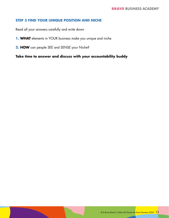#### **STEP 3 FIND YOUR UNIQUE POSITION AND NICHE**

Read all your answers carefully and write down

- **1. WHAT** elements in YOUR business make you unique and niche
- **2. HOW** can people SEE and SENSE your Niche?

**Take time to answer and discuss with your accountability buddy**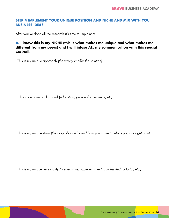#### **STEP 4 IMPLEMENT YOUR UNIQUE POSITION AND NICHE AND MIX WITH YOU BUSINESS IDEAS**

After you've done all the research it's time to implement.

#### **A. I know this is my NICHE (this is what makes me unique and what makes me different from my peers) and I will infuse ALL my communication with this special Cocktail.**

- This is my unique approach *(the way you offer the solution)*

- This my unique background (*education, personal experience, etc)*

- This is my unique story *(the story about why and how you came to where you are right now)*

- This is my unique personality *(like sensitive, super extravert, quick-witted, colorful, etc.)*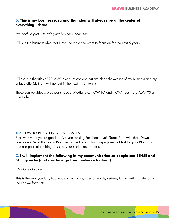#### **B. This is my business idea and that idea will always be at the center of everything I share**

*(go back to part 1 to add your business ideas here)*

- This is the business idea that I love the most and want to focus on for the next 5 years

- These are the titles of 20 to 30 pieces of content that are clear showcases of my Business and my unique offer(s), that I will get out in the next 1 - 3 months.

These can be videos, blog posts, Social Media, etc. HOW TO and HOW I posts are ALWAYS a great idea.

#### **TIP:** HOW TO REPURPOSE YOUR CONTENT

Start with what you're good at. Are you rocking Facebook Live? Great. Start with that. Download your video. Send the File to Rev.com for the transcription. Repurpose that text for your Blog post and use parts of the blog posts for your social media posts.

#### **C. I will implement the following in my communication so people can SENSE and SEE my niche (and overtime go from audience to client)**

#### *- My tone of voice.*

This is the way you talk, how you communicate, special words, serious, funny, writing style, using the I or we form, etc.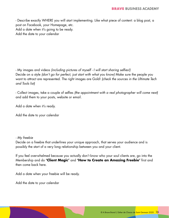- Describe exactly WHERE you will start implementing. Like what piece of content: a blog post, a post on Facebook, your Homepage, etc. Add a date when it's going to be ready. Add the date to your calendar

- My images and videos *(including pictures of myself - I will start sharing selfies!)* Decide on a style *(don't go for perfect, just start with what you know)* Make sure the people you want to attract are represented. The right images are Gold! *(check the sources in the Ultimate Tech and Tools list)*

- Collect images, take a couple of selfies *(the appointment with a real photographer will come next)* and add them to your posts, website or email.

Add a date when it's ready.

Add the date to your calendar

#### *- My freebie*

Decide on a freebie that underlines your unique approach, that serves your audience and is possibly the start of a very long relationship between you and your client.

If you feel overwhelmed because you actually don't know who your soul clients are, go into the Membership and do **'Client Magic'** and **'How to Create an Amazing Freebie'** first and then come back here.

Add a date when your freebie will be ready.

Add the date to your calendar